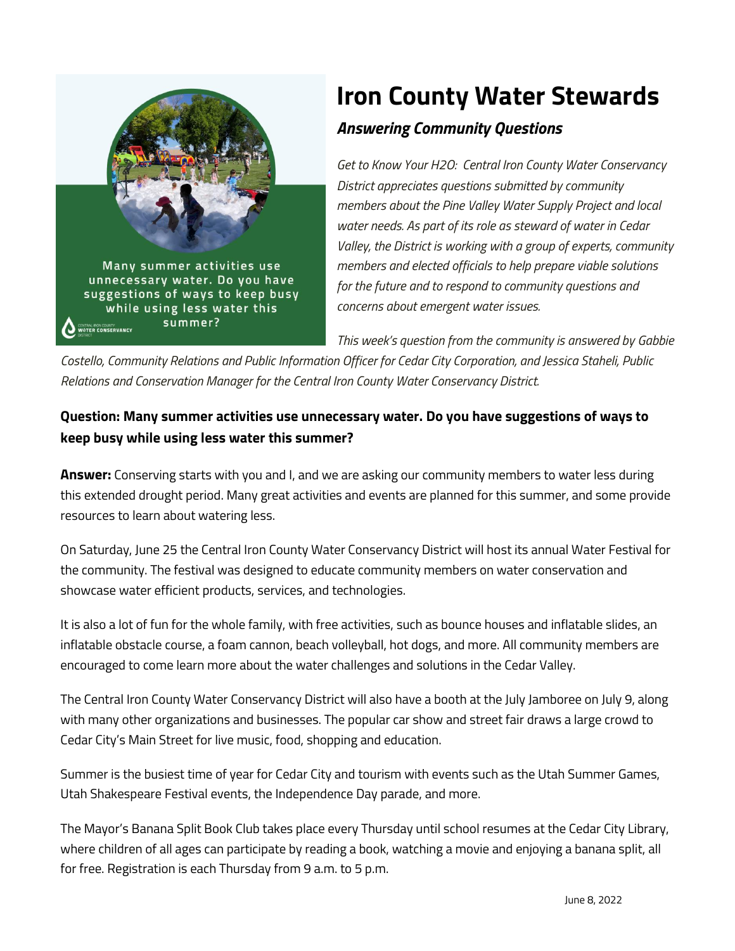

## **Iron County Water Stewards**

## *Answering Community Questions*

*Get to Know Your H2O: Central Iron County Water Conservancy District appreciates questions submitted by community members about the Pine Valley Water Supply Project and local water needs. As part of its role as steward of water in Cedar Valley, the District is working with a group of experts, community members and elected officials to help prepare viable solutions for the future and to respond to community questions and concerns about emergent water issues.*

*This week's question from the community is answered by Gabbie* 

*Costello, Community Relations and Public Information Officer for Cedar City Corporation, and Jessica Staheli, Public Relations and Conservation Manager for the Central Iron County Water Conservancy District.*

## **Question: Many summer activities use unnecessary water. Do you have suggestions of ways to keep busy while using less water this summer?**

**Answer:** Conserving starts with you and I, and we are asking our community members to water less during this extended drought period. Many great activities and events are planned for this summer, and some provide resources to learn about watering less.

On Saturday, June 25 the Central Iron County Water Conservancy District will host its annual Water Festival for the community. The festival was designed to educate community members on water conservation and showcase water efficient products, services, and technologies.

It is also a lot of fun for the whole family, with free activities, such as bounce houses and inflatable slides, an inflatable obstacle course, a foam cannon, beach volleyball, hot dogs, and more. All community members are encouraged to come learn more about the water challenges and solutions in the Cedar Valley.

The Central Iron County Water Conservancy District will also have a booth at the July Jamboree on July 9, along with many other organizations and businesses. The popular car show and street fair draws a large crowd to Cedar City's Main Street for live music, food, shopping and education.

Summer is the busiest time of year for Cedar City and tourism with events such as the Utah Summer Games, Utah Shakespeare Festival events, the Independence Day parade, and more.

The Mayor's Banana Split Book Club takes place every Thursday until school resumes at the Cedar City Library, where children of all ages can participate by reading a book, watching a movie and enjoying a banana split, all for free. Registration is each Thursday from 9 a.m. to 5 p.m.